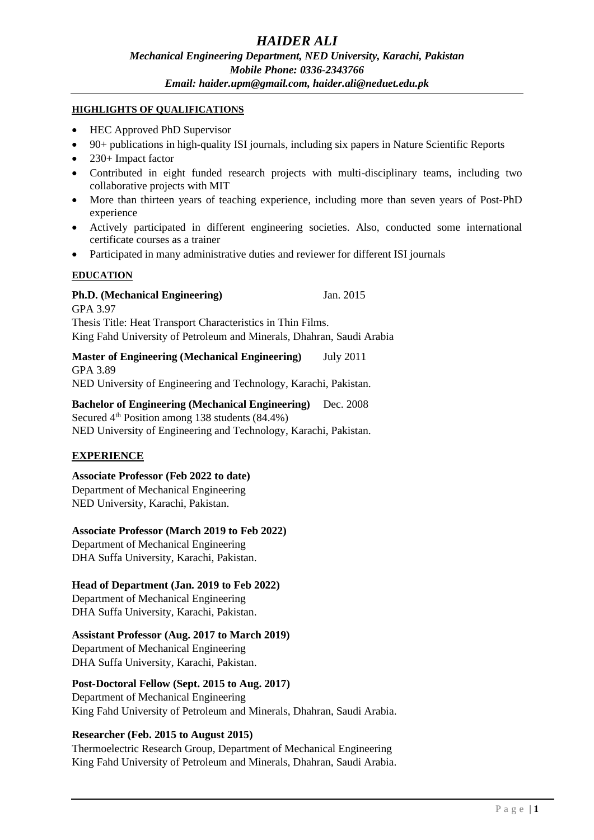#### **HIGHLIGHTS OF QUALIFICATIONS**

- HEC Approved PhD Supervisor
- 90+ publications in high-quality ISI journals, including six papers in Nature Scientific Reports
- 230+ Impact factor
- Contributed in eight funded research projects with multi-disciplinary teams, including two collaborative projects with MIT
- More than thirteen years of teaching experience, including more than seven years of Post-PhD experience
- Actively participated in different engineering societies. Also, conducted some international certificate courses as a trainer
- Participated in many administrative duties and reviewer for different ISI journals

#### **EDUCATION**

# **Ph.D. (Mechanical Engineering)** Jan. 2015

GPA 3.97 Thesis Title: Heat Transport Characteristics in Thin Films. King Fahd University of Petroleum and Minerals, Dhahran, Saudi Arabia

**Master of Engineering (Mechanical Engineering)** July 2011 GPA 3.89 NED University of Engineering and Technology, Karachi, Pakistan.

**Bachelor of Engineering (Mechanical Engineering)** Dec. 2008 Secured  $4<sup>th</sup>$  Position among 138 students (84.4%)

NED University of Engineering and Technology, Karachi, Pakistan.

### **EXPERIENCE**

#### **Associate Professor (Feb 2022 to date)**

Department of Mechanical Engineering NED University, Karachi, Pakistan.

#### **Associate Professor (March 2019 to Feb 2022)**

Department of Mechanical Engineering DHA Suffa University, Karachi, Pakistan.

#### **Head of Department (Jan. 2019 to Feb 2022)**

Department of Mechanical Engineering DHA Suffa University, Karachi, Pakistan.

### **Assistant Professor (Aug. 2017 to March 2019)**

Department of Mechanical Engineering DHA Suffa University, Karachi, Pakistan.

# **Post-Doctoral Fellow (Sept. 2015 to Aug. 2017)**

Department of Mechanical Engineering King Fahd University of Petroleum and Minerals, Dhahran, Saudi Arabia.

#### **Researcher (Feb. 2015 to August 2015)**

Thermoelectric Research Group, Department of Mechanical Engineering King Fahd University of Petroleum and Minerals, Dhahran, Saudi Arabia.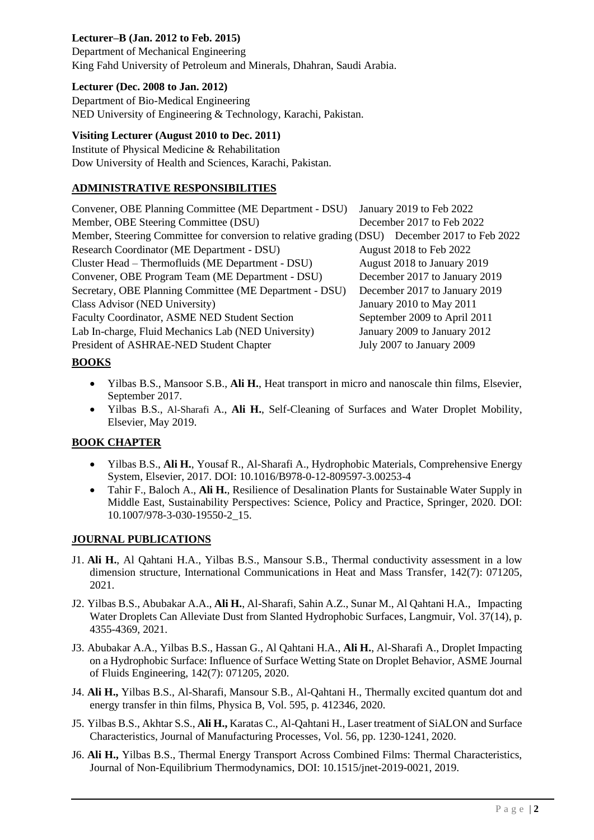# **Lecturer–B (Jan. 2012 to Feb. 2015)**

Department of Mechanical Engineering King Fahd University of Petroleum and Minerals, Dhahran, Saudi Arabia.

# **Lecturer (Dec. 2008 to Jan. 2012)**

Department of Bio-Medical Engineering NED University of Engineering & Technology, Karachi, Pakistan.

## **Visiting Lecturer (August 2010 to Dec. 2011)**

Institute of Physical Medicine & Rehabilitation Dow University of Health and Sciences, Karachi, Pakistan.

# **ADMINISTRATIVE RESPONSIBILITIES**

| Convener, OBE Planning Committee (ME Department - DSU) January 2019 to Feb 2022               |                               |
|-----------------------------------------------------------------------------------------------|-------------------------------|
| Member, OBE Steering Committee (DSU)                                                          | December 2017 to Feb 2022     |
| Member, Steering Committee for conversion to relative grading (DSU) December 2017 to Feb 2022 |                               |
| Research Coordinator (ME Department - DSU)                                                    | August 2018 to Feb 2022       |
| Cluster Head - Thermofluids (ME Department - DSU)                                             | August 2018 to January 2019   |
| Convener, OBE Program Team (ME Department - DSU)                                              | December 2017 to January 2019 |
| Secretary, OBE Planning Committee (ME Department - DSU)                                       | December 2017 to January 2019 |
| Class Advisor (NED University)                                                                | January 2010 to May 2011      |
| Faculty Coordinator, ASME NED Student Section                                                 | September 2009 to April 2011  |
| Lab In-charge, Fluid Mechanics Lab (NED University)                                           | January 2009 to January 2012  |
| President of ASHRAE-NED Student Chapter                                                       | July 2007 to January 2009     |

# **BOOKS**

- Yilbas B.S., Mansoor S.B., **Ali H.**, Heat transport in micro and nanoscale thin films, Elsevier, September 2017.
- Yilbas B.S., Al-Sharafi A., **Ali H.**, Self-Cleaning of Surfaces and Water Droplet Mobility, Elsevier, May 2019.

# **BOOK CHAPTER**

- Yilbas B.S., **Ali H.**, Yousaf R., Al-Sharafi A., Hydrophobic Materials, Comprehensive Energy System, Elsevier, 2017. DOI: 10.1016/B978-0-12-809597-3.00253-4
- Tahir F., Baloch A., **Ali H.**, Resilience of Desalination Plants for Sustainable Water Supply in Middle East, Sustainability Perspectives: Science, Policy and Practice, Springer, 2020. DOI: 10.1007/978-3-030-19550-2\_15.

### **JOURNAL PUBLICATIONS**

- J1. **Ali H.**, Al Qahtani H.A., Yilbas B.S., Mansour S.B., Thermal conductivity assessment in a low dimension structure, International Communications in Heat and Mass Transfer, 142(7): 071205, 2021.
- J2. Yilbas B.S., Abubakar A.A., **Ali H.**, Al-Sharafi, Sahin A.Z., Sunar M., Al Qahtani H.A., Impacting Water Droplets Can Alleviate Dust from Slanted Hydrophobic Surfaces, Langmuir, Vol. 37(14), p. 4355-4369, 2021.
- J3. Abubakar A.A., Yilbas B.S., Hassan G., Al Qahtani H.A., **Ali H.**, Al-Sharafi A., Droplet Impacting on a Hydrophobic Surface: Influence of Surface Wetting State on Droplet Behavior, ASME Journal of Fluids Engineering, 142(7): 071205, 2020.
- J4. **Ali H.,** Yilbas B.S., Al-Sharafi, Mansour S.B., Al-Qahtani H., Thermally excited quantum dot and energy transfer in thin films, Physica B, Vol. 595, p. 412346, 2020.
- J5. Yilbas B.S., Akhtar S.S., **Ali H.,** Karatas C., Al-Qahtani H., Laser treatment of SiALON and Surface Characteristics, Journal of Manufacturing Processes, Vol. 56, pp. 1230-1241, 2020.
- J6. **Ali H.,** Yilbas B.S., Thermal Energy Transport Across Combined Films: Thermal Characteristics, Journal of Non-Equilibrium Thermodynamics, DOI: 10.1515/jnet-2019-0021, 2019.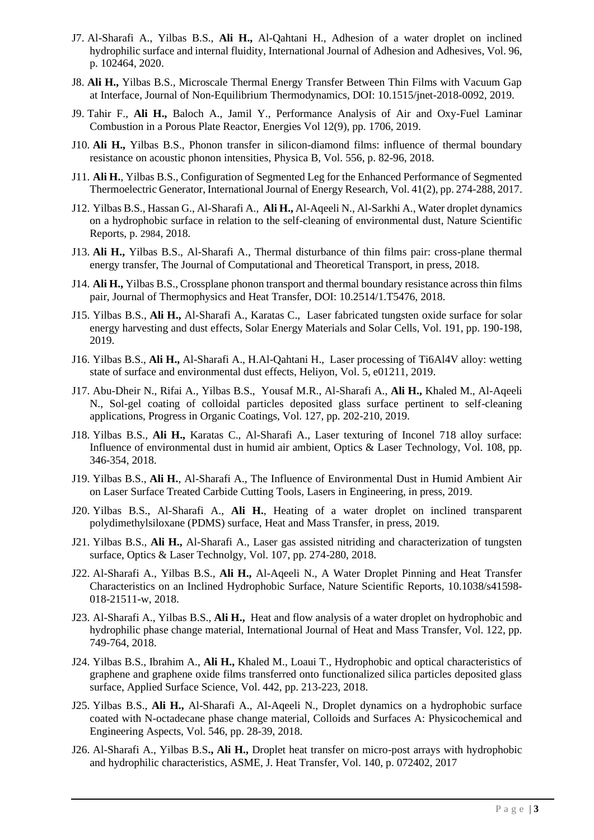- J7. Al-Sharafi A., Yilbas B.S., **Ali H.,** Al-Qahtani H., Adhesion of a water droplet on inclined hydrophilic surface and internal fluidity, International Journal of Adhesion and Adhesives, Vol. 96, p. 102464, 2020.
- J8. **Ali H.,** Yilbas B.S., Microscale Thermal Energy Transfer Between Thin Films with Vacuum Gap at Interface, Journal of Non-Equilibrium Thermodynamics, DOI: 10.1515/jnet-2018-0092, 2019.
- J9. Tahir F., **Ali H.,** Baloch A., Jamil Y., Performance Analysis of Air and Oxy-Fuel Laminar Combustion in a Porous Plate Reactor, Energies Vol 12(9), pp. 1706, 2019.
- J10. **Ali H.,** Yilbas B.S., Phonon transfer in silicon-diamond films: influence of thermal boundary resistance on acoustic phonon intensities, Physica B, Vol. 556, p. 82-96, 2018.
- J11. **Ali H.**, Yilbas B.S., Configuration of Segmented Leg for the Enhanced Performance of Segmented Thermoelectric Generator, International Journal of Energy Research, Vol. 41(2), pp. 274-288, 2017.
- J12. Yilbas B.S., Hassan G., Al-Sharafi A., **Ali H.,** Al-Aqeeli N., Al-Sarkhi A., Water droplet dynamics on a hydrophobic surface in relation to the self-cleaning of environmental dust, Nature Scientific Reports, p. 2984, 2018.
- J13. **Ali H.,** Yilbas B.S., Al-Sharafi A., Thermal disturbance of thin films pair: cross-plane thermal energy transfer, The Journal of Computational and Theoretical Transport, in press, 2018.
- J14. **Ali H.,** Yilbas B.S., Crossplane phonon transport and thermal boundary resistance across thin films pair, Journal of Thermophysics and Heat Transfer, DOI: 10.2514/1.T5476, 2018.
- J15. Yilbas B.S., **Ali H.,** Al-Sharafi A., Karatas C., Laser fabricated tungsten oxide surface for solar energy harvesting and dust effects, Solar Energy Materials and Solar Cells, Vol. 191, pp. 190-198, 2019.
- J16. Yilbas B.S., **Ali H.,** Al-Sharafi A., H.Al-Qahtani H., Laser processing of Ti6Al4V alloy: wetting state of surface and environmental dust effects, Heliyon, Vol. 5, e01211, 2019.
- J17. Abu-Dheir N., Rifai A., Yilbas B.S., Yousaf M.R., Al-Sharafi A., **Ali H.,** Khaled M., Al-Aqeeli N., Sol-gel coating of colloidal particles deposited glass surface pertinent to self-cleaning applications, Progress in Organic Coatings, Vol. 127, pp. 202-210, 2019.
- J18. Yilbas B.S., **Ali H.,** Karatas C., Al-Sharafi A., Laser texturing of Inconel 718 alloy surface: Influence of environmental dust in humid air ambient, Optics & Laser Technology, Vol. 108, pp. 346-354, 2018.
- J19. Yilbas B.S., **Ali H.**, Al-Sharafi A., The Influence of Environmental Dust in Humid Ambient Air on Laser Surface Treated Carbide Cutting Tools, Lasers in Engineering, in press, 2019.
- J20. Yilbas B.S., Al-Sharafi A., **Ali H.**, Heating of a water droplet on inclined transparent polydimethylsiloxane (PDMS) surface, Heat and Mass Transfer, in press, 2019.
- J21. Yilbas B.S., **Ali H.,** Al-Sharafi A., Laser gas assisted nitriding and characterization of tungsten surface, Optics & Laser Technolgy, Vol. 107, pp. 274-280, 2018.
- J22. Al-Sharafi A., Yilbas B.S., **Ali H.,** Al-Aqeeli N., A Water Droplet Pinning and Heat Transfer Characteristics on an Inclined Hydrophobic Surface, Nature Scientific Reports, 10.1038/s41598- 018-21511-w, 2018.
- J23. Al-Sharafi A., Yilbas B.S., **Ali H.,** Heat and flow analysis of a water droplet on hydrophobic and hydrophilic phase change material, International Journal of Heat and Mass Transfer, Vol. 122, pp. 749-764, 2018.
- J24. Yilbas B.S., Ibrahim A., **Ali H.,** Khaled M., Loaui T., Hydrophobic and optical characteristics of graphene and graphene oxide films transferred onto functionalized silica particles deposited glass surface, Applied Surface Science, Vol. 442, pp. 213-223, 2018.
- J25. Yilbas B.S., **Ali H.,** Al-Sharafi A., Al-Aqeeli N., Droplet dynamics on a hydrophobic surface coated with N-octadecane phase change material, Colloids and Surfaces A: Physicochemical and Engineering Aspects, Vol. 546, pp. 28-39, 2018.
- J26. Al-Sharafi A., Yilbas B.S**., Ali H.,** Droplet heat transfer on micro-post arrays with hydrophobic and hydrophilic characteristics, ASME, J. Heat Transfer, Vol. 140, p. 072402, 2017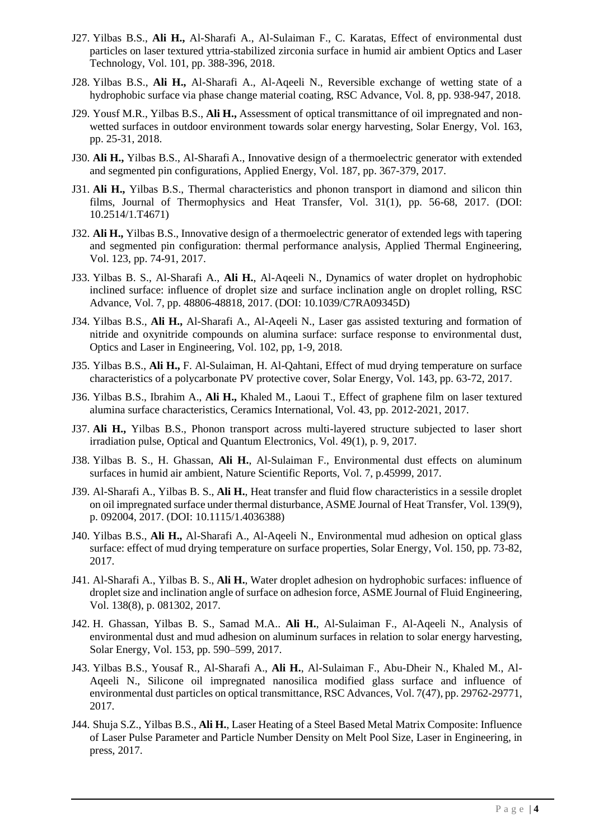- J27. Yilbas B.S., **Ali H.,** Al-Sharafi A., Al-Sulaiman F., C. Karatas, Effect of environmental dust particles on laser textured yttria-stabilized zirconia surface in humid air ambient Optics and Laser Technology, Vol. 101, pp. 388-396, 2018.
- J28. Yilbas B.S., **Ali H.,** Al-Sharafi A., Al-Aqeeli N., Reversible exchange of wetting state of a hydrophobic surface via phase change material coating, RSC Advance, Vol. 8, pp. 938-947, 2018.
- J29. Yousf M.R., Yilbas B.S., **Ali H.,** Assessment of optical transmittance of oil impregnated and nonwetted surfaces in outdoor environment towards solar energy harvesting, Solar Energy, Vol. 163, pp. 25-31, 2018.
- J30. **Ali H.,** Yilbas B.S., Al-Sharafi A., Innovative design of a thermoelectric generator with extended and segmented pin configurations, Applied Energy, Vol. 187, pp. 367-379, 2017.
- J31. **Ali H.,** Yilbas B.S., Thermal characteristics and phonon transport in diamond and silicon thin films, Journal of Thermophysics and Heat Transfer, Vol. 31(1), pp. 56-68, 2017. (DOI: 10.2514/1.T4671)
- J32. **Ali H.,** Yilbas B.S., Innovative design of a thermoelectric generator of extended legs with tapering and segmented pin configuration: thermal performance analysis, Applied Thermal Engineering, Vol. 123, pp. 74-91, 2017.
- J33. Yilbas B. S., Al-Sharafi A., **Ali H.**, Al-Aqeeli N., Dynamics of water droplet on hydrophobic inclined surface: influence of droplet size and surface inclination angle on droplet rolling, RSC Advance, Vol. 7, pp. 48806-48818, 2017. (DOI: 10.1039/C7RA09345D)
- J34. Yilbas B.S., **Ali H.,** Al-Sharafi A., Al-Aqeeli N., Laser gas assisted texturing and formation of nitride and oxynitride compounds on alumina surface: surface response to environmental dust, Optics and Laser in Engineering, Vol. 102, pp, 1-9, 2018.
- J35. Yilbas B.S., **Ali H.,** F. Al-Sulaiman, H. Al-Qahtani, Effect of mud drying temperature on surface characteristics of a polycarbonate PV protective cover, Solar Energy, Vol. 143, pp. 63-72, 2017.
- J36. Yilbas B.S., Ibrahim A., **Ali H.,** Khaled M., Laoui T., Effect of graphene film on laser textured alumina surface characteristics, Ceramics International, Vol. 43, pp. 2012-2021, 2017.
- J37. **Ali H.,** Yilbas B.S., Phonon transport across multi-layered structure subjected to laser short irradiation pulse, Optical and Quantum Electronics, Vol. 49(1), p. 9, 2017.
- J38. Yilbas B. S., H. Ghassan, **Ali H.**, Al-Sulaiman F., Environmental dust effects on aluminum surfaces in humid air ambient, Nature Scientific Reports, Vol. 7, p.45999, 2017.
- J39. Al-Sharafi A., Yilbas B. S., **Ali H.**, Heat transfer and fluid flow characteristics in a sessile droplet on oil impregnated surface under thermal disturbance, ASME Journal of Heat Transfer, Vol. 139(9), p. 092004, 2017. (DOI: 10.1115/1.4036388)
- J40. Yilbas B.S., **Ali H.,** Al-Sharafi A., Al-Aqeeli N., Environmental mud adhesion on optical glass surface: effect of mud drying temperature on surface properties, Solar Energy, Vol. 150, pp. 73-82, 2017.
- J41. Al-Sharafi A., Yilbas B. S., **Ali H.**, Water droplet adhesion on hydrophobic surfaces: influence of droplet size and inclination angle of surface on adhesion force, ASME Journal of Fluid Engineering, Vol. 138(8), p. 081302, 2017.
- J42. H. Ghassan, Yilbas B. S., Samad M.A.. **Ali H.**, Al-Sulaiman F., Al-Aqeeli N., Analysis of environmental dust and mud adhesion on aluminum surfaces in relation to solar energy harvesting, Solar Energy, Vol. 153, pp. 590–599, 2017.
- J43. Yilbas B.S., Yousaf R., Al-Sharafi A., **Ali H.**, Al-Sulaiman F., Abu-Dheir N., Khaled M., Al-Aqeeli N., Silicone oil impregnated nanosilica modified glass surface and influence of environmental dust particles on optical transmittance, RSC Advances, Vol. 7(47), pp. 29762-29771, 2017.
- J44. Shuja S.Z., Yilbas B.S., **Ali H.**, Laser Heating of a Steel Based Metal Matrix Composite: Influence of Laser Pulse Parameter and Particle Number Density on Melt Pool Size, Laser in Engineering, in press, 2017.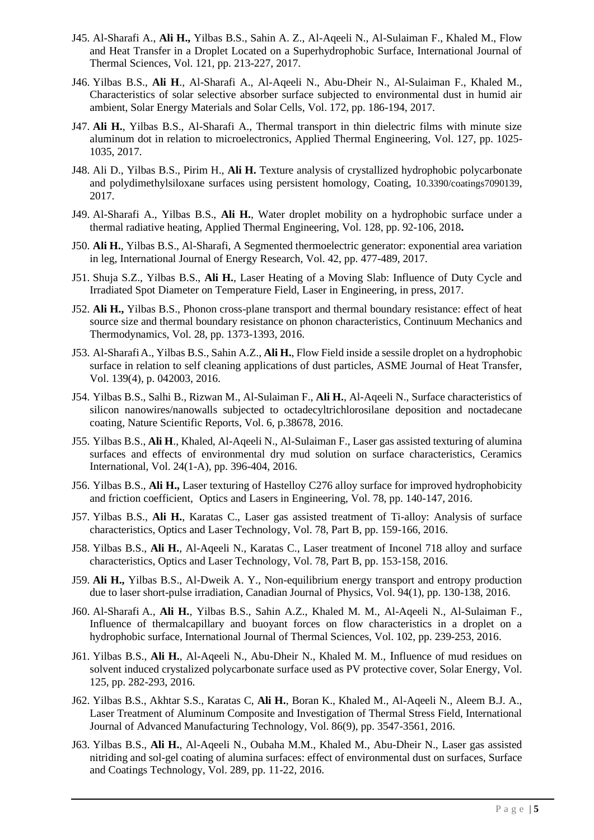- J45. Al-Sharafi A., **Ali H.,** Yilbas B.S., Sahin A. Z., Al-Aqeeli N., Al-Sulaiman F., Khaled M., Flow and Heat Transfer in a Droplet Located on a Superhydrophobic Surface, International Journal of Thermal Sciences, Vol. 121, pp. 213-227, 2017.
- J46. Yilbas B.S., **Ali H**., Al-Sharafi A., Al-Aqeeli N., Abu-Dheir N., Al-Sulaiman F., Khaled M., Characteristics of solar selective absorber surface subjected to environmental dust in humid air ambient, Solar Energy Materials and Solar Cells, Vol. 172, pp. 186-194, 2017.
- J47. **Ali H.**, Yilbas B.S., Al-Sharafi A., Thermal transport in thin dielectric films with minute size aluminum dot in relation to microelectronics, Applied Thermal Engineering, Vol. 127, pp. 1025- 1035, 2017.
- J48. Ali D., Yilbas B.S., Pirim H., **Ali H.** Texture analysis of crystallized hydrophobic polycarbonate and polydimethylsiloxane surfaces using persistent homology, Coating, 1[0.3390/coatings7090139](https://doi.org/10.3390/coatings7090139), 2017.
- J49. Al-Sharafi A., Yilbas B.S., **Ali H.**, Water droplet mobility on a hydrophobic surface under a thermal radiative heating, Applied Thermal Engineering, Vol. 128, pp. 92-106, 2018**.**
- J50. **Ali H.**, Yilbas B.S., Al-Sharafi, A Segmented thermoelectric generator: exponential area variation in leg, International Journal of Energy Research, Vol. 42, pp. 477-489, 2017.
- J51. Shuja S.Z., Yilbas B.S., **Ali H.**, Laser Heating of a Moving Slab: Influence of Duty Cycle and Irradiated Spot Diameter on Temperature Field, Laser in Engineering, in press, 2017.
- J52. **Ali H.,** Yilbas B.S., Phonon cross-plane transport and thermal boundary resistance: effect of heat source size and thermal boundary resistance on phonon characteristics, Continuum Mechanics and Thermodynamics, Vol. 28, pp. 1373-1393, 2016.
- J53. Al-SharafiA., Yilbas B.S., Sahin A.Z., **Ali H.**, Flow Field inside a sessile droplet on a hydrophobic surface in relation to self cleaning applications of dust particles, ASME Journal of Heat Transfer, Vol. 139(4), p. 042003, 2016.
- J54. Yilbas B.S., Salhi B., Rizwan M., Al-Sulaiman F., **Ali H.**, Al-Aqeeli N., Surface characteristics of silicon nanowires/nanowalls subjected to octadecyltrichlorosilane deposition and noctadecane coating, Nature Scientific Reports, Vol. 6, p.38678, 2016.
- J55. Yilbas B.S., **Ali H**., Khaled, Al-Aqeeli N., Al-Sulaiman F., Laser gas assisted texturing of alumina surfaces and effects of environmental dry mud solution on surface characteristics, Ceramics International, Vol. 24(1-A), pp. 396-404, 2016.
- J56. Yilbas B.S., **Ali H.,** Laser texturing of Hastelloy C276 alloy surface for improved hydrophobicity and friction coefficient, Optics and Lasers in Engineering, Vol. 78, pp. 140-147, 2016.
- J57. Yilbas B.S., **Ali H.**, Karatas C., Laser gas assisted treatment of Ti-alloy: Analysis of surface characteristics, Optics and Laser Technology, Vol. 78, Part B, pp. 159-166, 2016.
- J58. Yilbas B.S., **Ali H.**, Al-Aqeeli N., Karatas C., Laser treatment of Inconel 718 alloy and surface characteristics, Optics and Laser Technology, Vol. 78, Part B, pp. 153-158, 2016.
- J59. **Ali H.,** Yilbas B.S., Al-Dweik A. Y., Non-equilibrium energy transport and entropy production due to laser short-pulse irradiation, Canadian Journal of Physics, Vol. 94(1), pp. 130-138, 2016.
- J60. Al-Sharafi A., **Ali H.**, Yilbas B.S., Sahin A.Z., Khaled M. M., Al-Aqeeli N., Al-Sulaiman F., Influence of thermalcapillary and buoyant forces on flow characteristics in a droplet on a hydrophobic surface, International Journal of Thermal Sciences, Vol. 102, pp. 239-253, 2016.
- J61. Yilbas B.S., **Ali H.**, Al-Aqeeli N., Abu-Dheir N., Khaled M. M., Influence of mud residues on solvent induced crystalized polycarbonate surface used as PV protective cover, Solar Energy, Vol. 125, pp. 282-293, 2016.
- J62. Yilbas B.S., Akhtar S.S., Karatas C, **Ali H.**, Boran K., Khaled M., Al-Aqeeli N., Aleem B.J. A., Laser Treatment of Aluminum Composite and Investigation of Thermal Stress Field, International Journal of Advanced Manufacturing Technology, Vol. 86(9), pp. 3547-3561, 2016.
- J63. Yilbas B.S., **Ali H.**, Al-Aqeeli N., Oubaha M.M., Khaled M., Abu-Dheir N., Laser gas assisted nitriding and sol-gel coating of alumina surfaces: effect of environmental dust on surfaces, Surface and Coatings Technology, Vol. 289, pp. 11-22, 2016.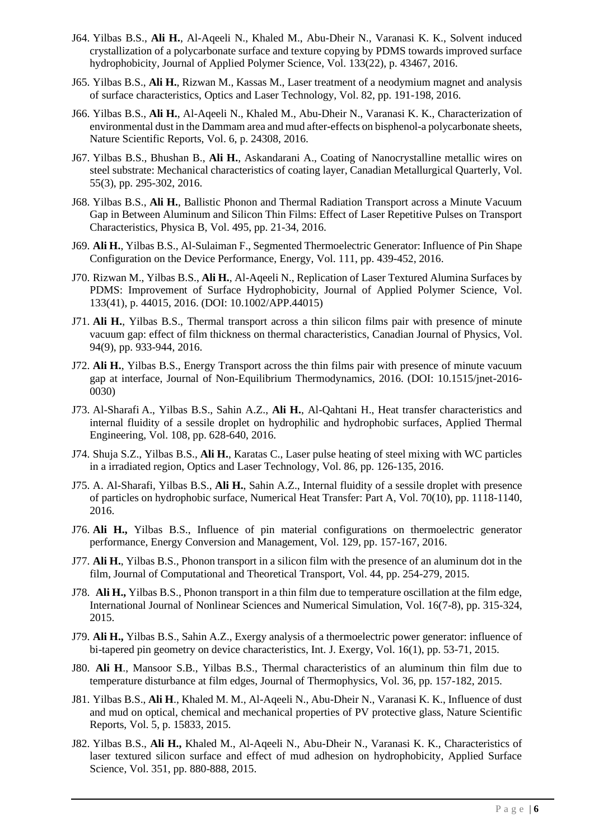- J64. Yilbas B.S., **Ali H.**, Al-Aqeeli N., Khaled M., Abu-Dheir N., Varanasi K. K., Solvent induced crystallization of a polycarbonate surface and texture copying by PDMS towards improved surface hydrophobicity, Journal of Applied Polymer Science, Vol. 133(22), p. 43467, 2016.
- J65. Yilbas B.S., **Ali H.**, Rizwan M., Kassas M., Laser treatment of a neodymium magnet and analysis of surface characteristics, Optics and Laser Technology, Vol. 82, pp. 191-198, 2016.
- J66. Yilbas B.S., **Ali H.**, Al-Aqeeli N., Khaled M., Abu-Dheir N., Varanasi K. K., Characterization of environmental dust in the Dammam area and mud after-effects on bisphenol-a polycarbonate sheets, Nature Scientific Reports, Vol. 6, p. 24308, 2016.
- J67. Yilbas B.S., Bhushan B., **Ali H.**, Askandarani A., Coating of Nanocrystalline metallic wires on steel substrate: Mechanical characteristics of coating layer, Canadian Metallurgical Quarterly, Vol. 55(3), pp. 295-302, 2016.
- J68. Yilbas B.S., **Ali H.**, Ballistic Phonon and Thermal Radiation Transport across a Minute Vacuum Gap in Between Aluminum and Silicon Thin Films: Effect of Laser Repetitive Pulses on Transport Characteristics, Physica B, Vol. 495, pp. 21-34, 2016.
- J69. **Ali H.**, Yilbas B.S., Al-Sulaiman F., Segmented Thermoelectric Generator: Influence of Pin Shape Configuration on the Device Performance, Energy, Vol. 111, pp. 439-452, 2016.
- J70. Rizwan M., Yilbas B.S., **Ali H.**, Al-Aqeeli N., Replication of Laser Textured Alumina Surfaces by PDMS: Improvement of Surface Hydrophobicity, Journal of Applied Polymer Science, Vol. 133(41), p. 44015, 2016. (DOI: 10.1002/APP.44015)
- J71. **Ali H.**, Yilbas B.S., Thermal transport across a thin silicon films pair with presence of minute vacuum gap: effect of film thickness on thermal characteristics, Canadian Journal of Physics, Vol. 94(9), pp. 933-944, 2016.
- J72. **Ali H.**, Yilbas B.S., Energy Transport across the thin films pair with presence of minute vacuum gap at interface, Journal of Non-Equilibrium Thermodynamics, 2016. (DOI: 10.1515/jnet-2016- 0030)
- J73. Al-Sharafi A., Yilbas B.S., Sahin A.Z., **Ali H.**, Al-Qahtani H., Heat transfer characteristics and internal fluidity of a sessile droplet on hydrophilic and hydrophobic surfaces, Applied Thermal Engineering, Vol. 108, pp. 628-640, 2016.
- J74. Shuja S.Z., Yilbas B.S., **Ali H.**, Karatas C., Laser pulse heating of steel mixing with WC particles in a irradiated region, Optics and Laser Technology, Vol. 86, pp. 126-135, 2016.
- J75. A. Al-Sharafi, Yilbas B.S., **Ali H.**, Sahin A.Z., Internal fluidity of a sessile droplet with presence of particles on hydrophobic surface, Numerical Heat Transfer: Part A, Vol. 70(10), pp. 1118-1140, 2016.
- J76. **Ali H.,** Yilbas B.S., Influence of pin material configurations on thermoelectric generator performance, Energy Conversion and Management, Vol. 129, pp. 157-167, 2016.
- J77. **Ali H.**, Yilbas B.S., Phonon transport in a silicon film with the presence of an aluminum dot in the film, Journal of Computational and Theoretical Transport, Vol. 44, pp. 254-279, 2015.
- J78. **Ali H.,** Yilbas B.S., Phonon transport in a thin film due to temperature oscillation at the film edge, International Journal of Nonlinear Sciences and Numerical Simulation, Vol. 16(7-8), pp. 315-324, 2015.
- J79. **Ali H.,** Yilbas B.S., Sahin A.Z., Exergy analysis of a thermoelectric power generator: influence of bi-tapered pin geometry on device characteristics, Int. J. Exergy, Vol. 16(1), pp. 53-71, 2015.
- J80. **Ali H**., Mansoor S.B., Yilbas B.S., Thermal characteristics of an aluminum thin film due to temperature disturbance at film edges, Journal of Thermophysics, Vol. 36, pp. 157-182, 2015.
- J81. Yilbas B.S., **Ali H**., Khaled M. M., Al-Aqeeli N., Abu-Dheir N., Varanasi K. K., Influence of dust and mud on optical, chemical and mechanical properties of PV protective glass, Nature Scientific Reports, Vol. 5, p. 15833, 2015.
- J82. Yilbas B.S., **Ali H.,** Khaled M., Al-Aqeeli N., Abu-Dheir N., Varanasi K. K., Characteristics of laser textured silicon surface and effect of mud adhesion on hydrophobicity, Applied Surface Science, Vol. 351, pp. 880-888, 2015.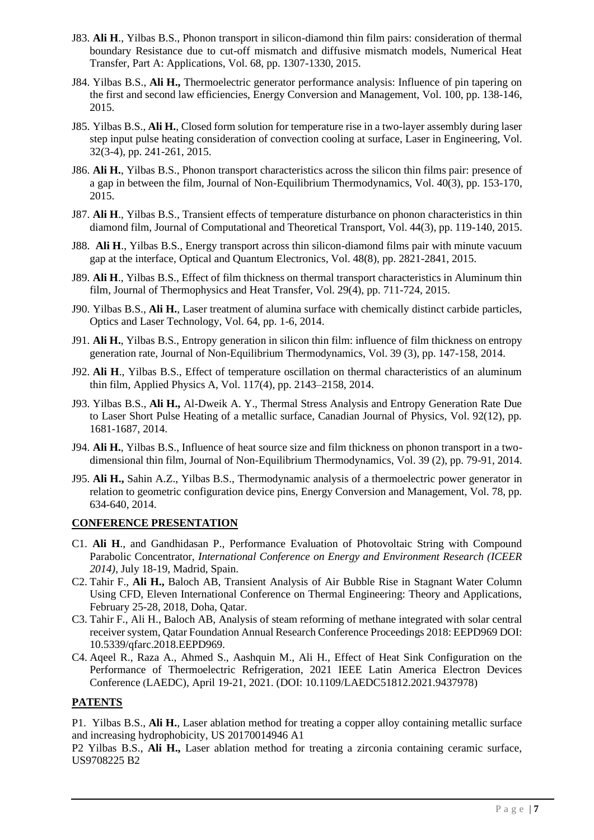- J83. **Ali H**., Yilbas B.S., Phonon transport in silicon-diamond thin film pairs: consideration of thermal boundary Resistance due to cut-off mismatch and diffusive mismatch models, Numerical Heat Transfer, Part A: Applications, Vol. 68, pp. 1307-1330, 2015.
- J84. Yilbas B.S., **Ali H.,** Thermoelectric generator performance analysis: Influence of pin tapering on the first and second law efficiencies, Energy Conversion and Management, Vol. 100, pp. 138-146, 2015.
- J85. Yilbas B.S., **Ali H.**, Closed form solution for temperature rise in a two-layer assembly during laser step input pulse heating consideration of convection cooling at surface, Laser in Engineering, Vol. 32(3-4), pp. 241-261, 2015.
- J86. **Ali H.**, Yilbas B.S., Phonon transport characteristics across the silicon thin films pair: presence of a gap in between the film, Journal of Non-Equilibrium Thermodynamics, Vol. 40(3), pp. 153-170, 2015.
- J87. **Ali H**., Yilbas B.S., Transient effects of temperature disturbance on phonon characteristics in thin diamond film, Journal of Computational and Theoretical Transport, Vol. 44(3), pp. 119-140, 2015.
- J88. **Ali H**., Yilbas B.S., Energy transport across thin silicon-diamond films pair with minute vacuum gap at the interface, Optical and Quantum Electronics, Vol. 48(8), pp. 2821-2841, 2015.
- J89. **Ali H**., Yilbas B.S., Effect of film thickness on thermal transport characteristics in Aluminum thin film, Journal of Thermophysics and Heat Transfer, Vol. 29(4), pp. 711-724, 2015.
- J90. Yilbas B.S., **Ali H.**, Laser treatment of alumina surface with chemically distinct carbide particles, Optics and Laser Technology, Vol. 64, pp. 1-6, 2014.
- J91. **Ali H.**, Yilbas B.S., Entropy generation in silicon thin film: influence of film thickness on entropy generation rate, Journal of Non-Equilibrium Thermodynamics, Vol. 39 (3), pp. 147-158, 2014.
- J92. **Ali H**., Yilbas B.S., Effect of temperature oscillation on thermal characteristics of an aluminum thin film, Applied Physics A, Vol. 117(4), pp. 2143–2158, 2014.
- J93. Yilbas B.S., **Ali H.,** Al-Dweik A. Y., Thermal Stress Analysis and Entropy Generation Rate Due to Laser Short Pulse Heating of a metallic surface, Canadian Journal of Physics, Vol. 92(12), pp. 1681-1687, 2014.
- J94. **Ali H.**, Yilbas B.S., Influence of heat source size and film thickness on phonon transport in a twodimensional thin film, Journal of Non-Equilibrium Thermodynamics, Vol. 39 (2), pp. 79-91, 2014.
- J95. **Ali H.,** Sahin A.Z., Yilbas B.S., Thermodynamic analysis of a thermoelectric power generator in relation to geometric configuration device pins, Energy Conversion and Management, Vol. 78, pp. 634-640, 2014.

### **CONFERENCE PRESENTATION**

- C1. **Ali H**., and Gandhidasan P., Performance Evaluation of Photovoltaic String with Compound Parabolic Concentrator, *International Conference on Energy and Environment Research (ICEER 2014)*, July 18-19, Madrid, Spain.
- C2. Tahir F., **Ali H.,** Baloch AB, Transient Analysis of Air Bubble Rise in Stagnant Water Column Using CFD, Eleven International Conference on Thermal Engineering: Theory and Applications, February 25-28, 2018, Doha, Qatar.
- C3. Tahir F., Ali H., Baloch AB, Analysis of steam reforming of methane integrated with solar central receiver system, Qatar Foundation Annual Research Conference Proceedings 2018: EEPD969 DOI: 10.5339/qfarc.2018.EEPD969.
- C4. Aqeel R., Raza A., Ahmed S., Aashquin M., Ali H., Effect of Heat Sink Configuration on the Performance of Thermoelectric Refrigeration, 2021 IEEE Latin America Electron Devices Conference (LAEDC), April 19-21, 2021. (DOI: 10.1109/LAEDC51812.2021.9437978)

### **PATENTS**

P1. Yilbas B.S., **Ali H.**, Laser ablation method for treating a copper alloy containing metallic surface and increasing hydrophobicity, US 20170014946 A1

P2 Yilbas B.S., **Ali H.,** Laser ablation method for treating a zirconia containing ceramic surface, US9708225 B2